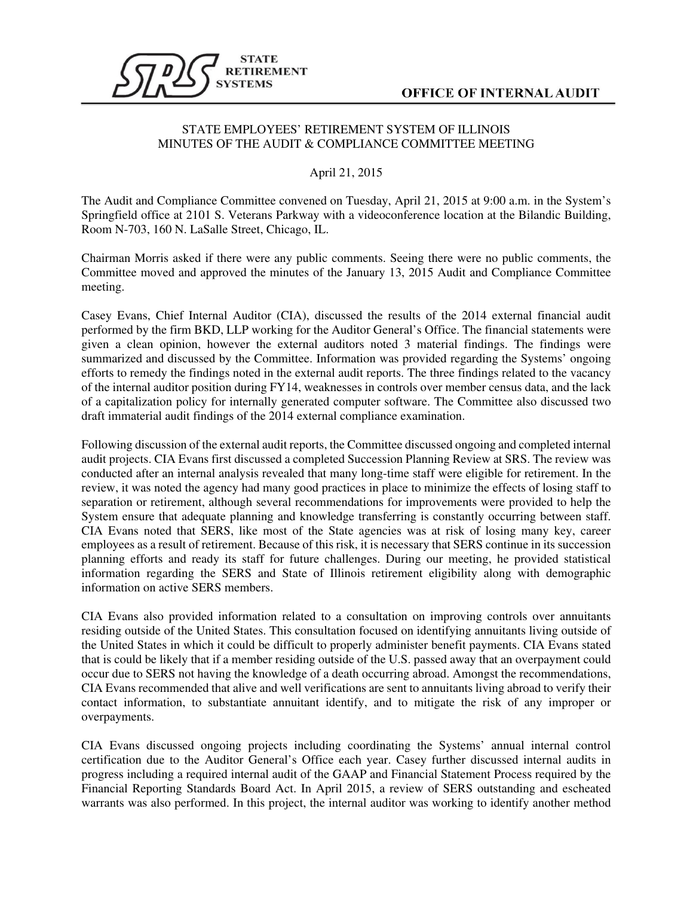

## STATE EMPLOYEES' RETIREMENT SYSTEM OF ILLINOIS MINUTES OF THE AUDIT & COMPLIANCE COMMITTEE MEETING

## April 21, 2015

The Audit and Compliance Committee convened on Tuesday, April 21, 2015 at 9:00 a.m. in the System's Springfield office at 2101 S. Veterans Parkway with a videoconference location at the Bilandic Building, Room N-703, 160 N. LaSalle Street, Chicago, IL.

Chairman Morris asked if there were any public comments. Seeing there were no public comments, the Committee moved and approved the minutes of the January 13, 2015 Audit and Compliance Committee meeting.

Casey Evans, Chief Internal Auditor (CIA), discussed the results of the 2014 external financial audit performed by the firm BKD, LLP working for the Auditor General's Office. The financial statements were given a clean opinion, however the external auditors noted 3 material findings. The findings were summarized and discussed by the Committee. Information was provided regarding the Systems' ongoing efforts to remedy the findings noted in the external audit reports. The three findings related to the vacancy of the internal auditor position during FY14, weaknesses in controls over member census data, and the lack of a capitalization policy for internally generated computer software. The Committee also discussed two draft immaterial audit findings of the 2014 external compliance examination.

Following discussion of the external audit reports, the Committee discussed ongoing and completed internal audit projects. CIA Evans first discussed a completed Succession Planning Review at SRS. The review was conducted after an internal analysis revealed that many long-time staff were eligible for retirement. In the review, it was noted the agency had many good practices in place to minimize the effects of losing staff to separation or retirement, although several recommendations for improvements were provided to help the System ensure that adequate planning and knowledge transferring is constantly occurring between staff. CIA Evans noted that SERS, like most of the State agencies was at risk of losing many key, career employees as a result of retirement. Because of this risk, it is necessary that SERS continue in its succession planning efforts and ready its staff for future challenges. During our meeting, he provided statistical information regarding the SERS and State of Illinois retirement eligibility along with demographic information on active SERS members.

CIA Evans also provided information related to a consultation on improving controls over annuitants residing outside of the United States. This consultation focused on identifying annuitants living outside of the United States in which it could be difficult to properly administer benefit payments. CIA Evans stated that is could be likely that if a member residing outside of the U.S. passed away that an overpayment could occur due to SERS not having the knowledge of a death occurring abroad. Amongst the recommendations, CIA Evans recommended that alive and well verifications are sent to annuitants living abroad to verify their contact information, to substantiate annuitant identify, and to mitigate the risk of any improper or overpayments.

CIA Evans discussed ongoing projects including coordinating the Systems' annual internal control certification due to the Auditor General's Office each year. Casey further discussed internal audits in progress including a required internal audit of the GAAP and Financial Statement Process required by the Financial Reporting Standards Board Act. In April 2015, a review of SERS outstanding and escheated warrants was also performed. In this project, the internal auditor was working to identify another method